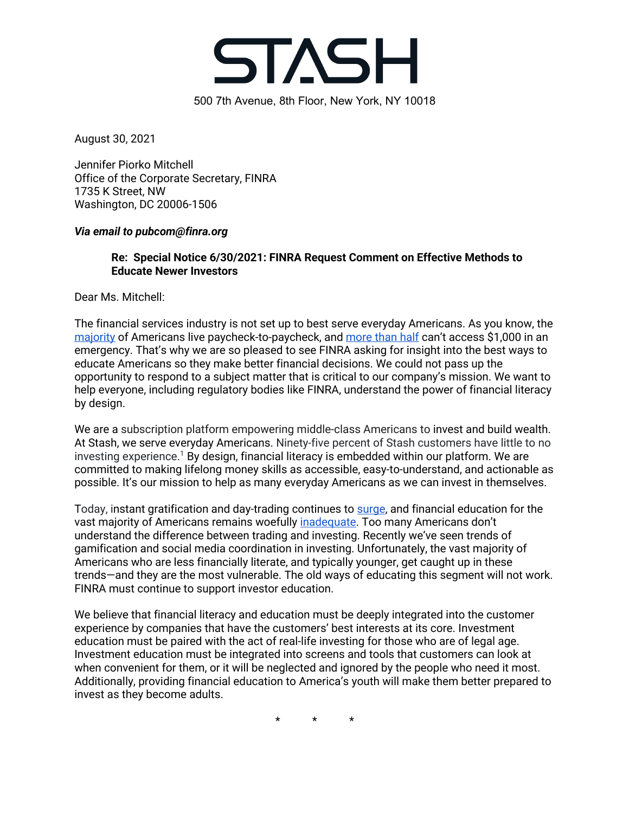

August 30, 2021

Jennifer Piorko Mitchell Office of the Corporate Secretary, FINRA 1735 K Street, NW Washington, DC 20006-1506

### *Via email to pubcom@finra.org*

## **Re: Special Notice 6/30/2021: FINRA Request Comment on Effective Methods to Educate Newer Investors**

Dear Ms. Mitchell:

The financial services industry is not set up to best serve everyday Americans. As you know, the majority of Americans live paycheck-to-paycheck, and more than half can't access \$1,000 in an emergency. That's why we are so pleased to see FINRA asking for insight into the best ways to educate Americans so they make better financial decisions. We could not pass up the opportunity to respond to a subject matter that is critical to our company's mission. We want to help everyone, including regulatory bodies like FINRA, understand the power of financial literacy by design.

We are a subscription platform empowering middle-class Americans to invest and build wealth. At Stash, we serve everyday Americans. Ninety-five percent of Stash customers have little to no investing experience.<sup>1</sup> By design, financial literacy is embedded within our platform. We are committed to making lifelong money skills as accessible, easy-to-understand, and actionable as possible. It's our mission to help as many everyday Americans as we can invest in themselves.

Today, instant gratification and day-trading continues to surge, and financial education for the vast majority of Americans remains woefully inadequate. Too many Americans don't understand the difference between trading and investing. Recently we've seen trends of gamification and social media coordination in investing. Unfortunately, the vast majority of Americans who are less financially literate, and typically younger, get caught up in these trends—and they are the most vulnerable. The old ways of educating this segment will not work. FINRA must continue to support investor education.

We believe that financial literacy and education must be deeply integrated into the customer experience by companies that have the customers' best interests at its core. Investment education must be paired with the act of real-life investing for those who are of legal age. Investment education must be integrated into screens and tools that customers can look at when convenient for them, or it will be neglected and ignored by the people who need it most. Additionally, providing financial education to America's youth will make them better prepared to invest as they become adults.

\* \* \*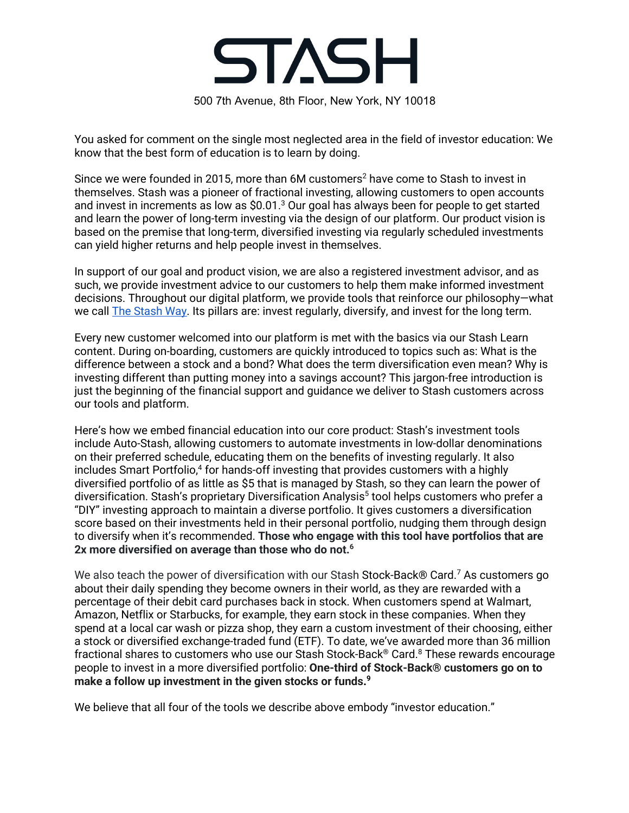

You asked for comment on the single most neglected area in the field of investor education: We know that the best form of education is to learn by doing.

Since we were founded in 2015, more than 6M customers<sup>2</sup> have come to Stash to invest in themselves. Stash was a pioneer of fractional investing, allowing customers to open accounts and invest in increments as low as \$0.01.<sup>3</sup> Our goal has always been for people to get started and learn the power of long-term investing via the design of our platform. Our product vision is based on the premise that long-term, diversified investing via regularly scheduled investments can yield higher returns and help people invest in themselves.

In support of our goal and product vision, we are also a registered investment advisor, and as such, we provide investment advice to our customers to help them make informed investment decisions. Throughout our digital platform, we provide tools that reinforce our philosophy—what we call The Stash Way. Its pillars are: invest regularly, diversify, and invest for the long term.

Every new customer welcomed into our platform is met with the basics via our Stash Learn content. During on-boarding, customers are quickly introduced to topics such as: What is the difference between a stock and a bond? What does the term diversification even mean? Why is investing different than putting money into a savings account? This jargon-free introduction is just the beginning of the financial support and guidance we deliver to Stash customers across our tools and platform.

Here's how we embed financial education into our core product: Stash's investment tools include Auto-Stash, allowing customers to automate investments in low-dollar denominations on their preferred schedule, educating them on the benefits of investing regularly. It also includes Smart Portfolio,<sup>4</sup> for hands-off investing that provides customers with a highly diversified portfolio of as little as \$5 that is managed by Stash, so they can learn the power of diversification. Stash's proprietary Diversification Analysis<sup>5</sup> tool helps customers who prefer a "DIY" investing approach to maintain a diverse portfolio. It gives customers a diversification score based on their investments held in their personal portfolio, nudging them through design to diversify when it's recommended. **Those who engage with this tool have portfolios that are 2x more diversified on average than those who do not.6**

We also teach the power of diversification with our Stash Stock-Back® Card.<sup>7</sup> As customers go about their daily spending they become owners in their world, as they are rewarded with a percentage of their debit card purchases back in stock. When customers spend at Walmart, Amazon, Netflix or Starbucks, for example, they earn stock in these companies. When they spend at a local car wash or pizza shop, they earn a custom investment of their choosing, either a stock or diversified exchange-traded fund (ETF). To date, we've awarded more than 36 million fractional shares to customers who use our Stash Stock-Back® Card.8 These rewards encourage people to invest in a more diversified portfolio: **One-third of Stock-Back® customers go on to make a follow up investment in the given stocks or funds. 9**

We believe that all four of the tools we describe above embody "investor education."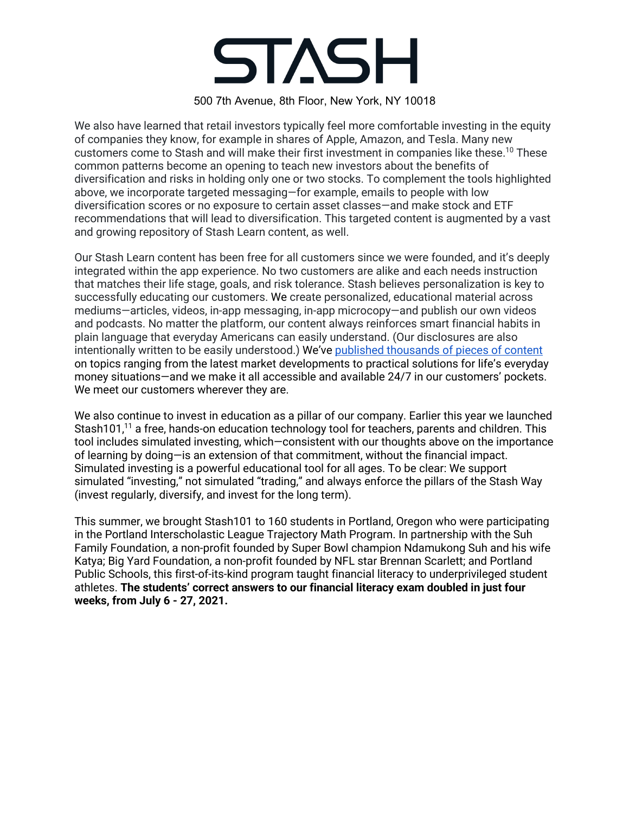# **STASH**

### 500 7th Avenue, 8th Floor, New York, NY 10018

We also have learned that retail investors typically feel more comfortable investing in the equity of companies they know, for example in shares of Apple, Amazon, and Tesla. Many new customers come to Stash and will make their first investment in companies like these.<sup>10</sup> These common patterns become an opening to teach new investors about the benefits of diversification and risks in holding only one or two stocks. To complement the tools highlighted above, we incorporate targeted messaging—for example, emails to people with low diversification scores or no exposure to certain asset classes—and make stock and ETF recommendations that will lead to diversification. This targeted content is augmented by a vast and growing repository of Stash Learn content, as well.

Our Stash Learn content has been free for all customers since we were founded, and it's deeply integrated within the app experience. No two customers are alike and each needs instruction that matches their life stage, goals, and risk tolerance. Stash believes personalization is key to successfully educating our customers. We create personalized, educational material across mediums—articles, videos, in-app messaging, in-app microcopy—and publish our own videos and podcasts. No matter the platform, our content always reinforces smart financial habits in plain language that everyday Americans can easily understand. (Our disclosures are also intentionally written to be easily understood.) We've published thousands of pieces of content on topics ranging from the latest market developments to practical solutions for life's everyday money situations—and we make it all accessible and available 24/7 in our customers' pockets. We meet our customers wherever they are.

We also continue to invest in education as a pillar of our company. Earlier this year we launched Stash101,<sup>11</sup> a free, hands-on education technology tool for teachers, parents and children. This tool includes simulated investing, which—consistent with our thoughts above on the importance of learning by doing—is an extension of that commitment, without the financial impact. Simulated investing is a powerful educational tool for all ages. To be clear: We support simulated "investing," not simulated "trading," and always enforce the pillars of the Stash Way (invest regularly, diversify, and invest for the long term).

This summer, we brought Stash101 to 160 students in Portland, Oregon who were participating in the Portland Interscholastic League Trajectory Math Program. In partnership with the Suh Family Foundation, a non-profit founded by Super Bowl champion Ndamukong Suh and his wife Katya; Big Yard Foundation, a non-profit founded by NFL star Brennan Scarlett; and Portland Public Schools, this first-of-its-kind program taught financial literacy to underprivileged student athletes. **The students' correct answers to our financial literacy exam doubled in just four weeks, from July 6 - 27, 2021.**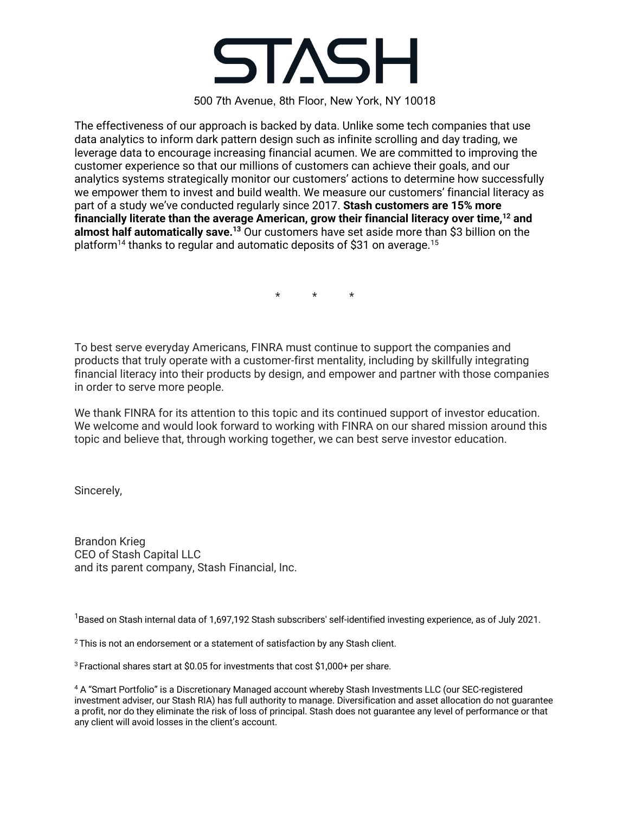

500 7th Avenue, 8th Floor, New York, NY 10018

The effectiveness of our approach is backed by data. Unlike some tech companies that use data analytics to inform dark pattern design such as infinite scrolling and day trading, we leverage data to encourage increasing financial acumen. We are committed to improving the customer experience so that our millions of customers can achieve their goals, and our analytics systems strategically monitor our customers' actions to determine how successfully we empower them to invest and build wealth. We measure our customers' financial literacy as part of a study we've conducted regularly since 2017. **Stash customers are 15% more financially literate than the average American, grow their financial literacy over time,12 and almost half automatically save.13** Our customers have set aside more than \$3 billion on the platform<sup>14</sup> thanks to regular and automatic deposits of \$31 on average.<sup>15</sup>

\* \* \*

To best serve everyday Americans, FINRA must continue to support the companies and products that truly operate with a customer-first mentality, including by skillfully integrating financial literacy into their products by design, and empower and partner with those companies in order to serve more people.

We thank FINRA for its attention to this topic and its continued support of investor education. We welcome and would look forward to working with FINRA on our shared mission around this topic and believe that, through working together, we can best serve investor education.

Sincerely,

Brandon Krieg CEO of Stash Capital LLC and its parent company, Stash Financial, Inc.

 $^1$ Based on Stash internal data of 1,697,192 Stash subscribers' self-identified investing experience, as of July 2021.

<sup>2</sup> This is not an endorsement or a statement of satisfaction by any Stash client.

3 Fractional shares start at \$0.05 for investments that cost \$1,000+ per share.

<sup>4</sup> A "Smart Portfolio" is a Discretionary Managed account whereby Stash Investments LLC (our SEC-registered investment adviser, our Stash RIA) has full authority to manage. Diversification and asset allocation do not guarantee a profit, nor do they eliminate the risk of loss of principal. Stash does not guarantee any level of performance or that any client will avoid losses in the client's account.